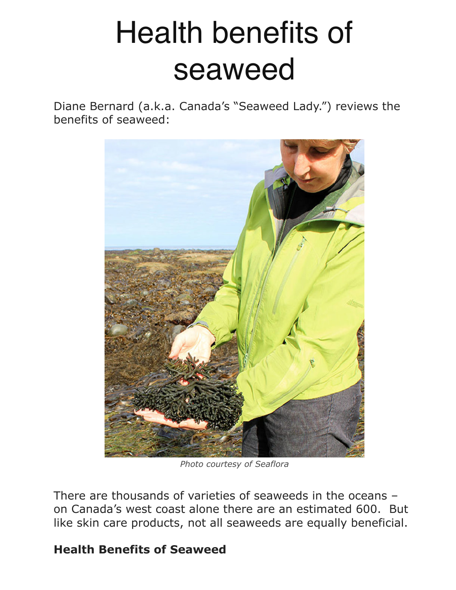## Health benefits of seaweed

Diane Bernard (a.k.a. Canada's "Seaweed Lady.") reviews the benefits of seaweed:



*Photo courtesy of Seaflora* 

There are thousands of varieties of seaweeds in the oceans – on Canada's west coast alone there are an estimated 600. But like skin care products, not all seaweeds are equally beneficial.

## **Health Benefits of Seaweed**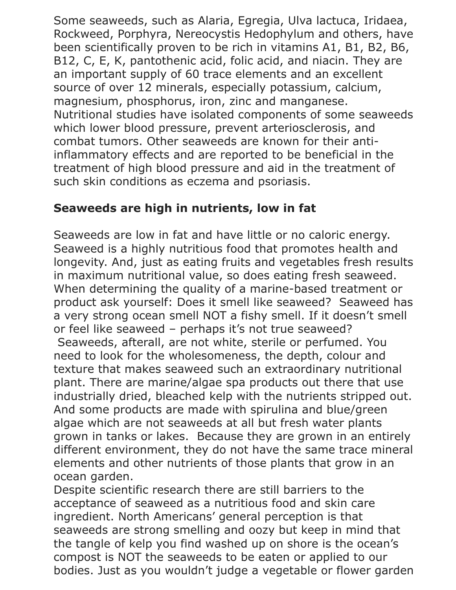Some seaweeds, such as Alaria, Egregia, Ulva lactuca, Iridaea, Rockweed, Porphyra, Nereocystis Hedophylum and others, have been scientifically proven to be rich in vitamins A1, B1, B2, B6, B12, C, E, K, pantothenic acid, folic acid, and niacin. They are an important supply of 60 trace elements and an excellent source of over 12 minerals, especially potassium, calcium, magnesium, phosphorus, iron, zinc and manganese. Nutritional studies have isolated components of some seaweeds which lower blood pressure, prevent arteriosclerosis, and combat tumors. Other seaweeds are known for their antiinflammatory effects and are reported to be beneficial in the treatment of high blood pressure and aid in the treatment of such skin conditions as eczema and psoriasis.

## **Seaweeds are high in nutrients, low in fat**

Seaweeds are low in fat and have little or no caloric energy. Seaweed is a highly nutritious food that promotes health and longevity. And, just as eating fruits and vegetables fresh results in maximum nutritional value, so does eating fresh seaweed. When determining the quality of a marine-based treatment or product ask yourself: Does it smell like seaweed? Seaweed has a very strong ocean smell NOT a fishy smell. If it doesn't smell or feel like seaweed – perhaps it's not true seaweed? Seaweeds, afterall, are not white, sterile or perfumed. You need to look for the wholesomeness, the depth, colour and texture that makes seaweed such an extraordinary nutritional plant. There are marine/algae spa products out there that use industrially dried, bleached kelp with the nutrients stripped out. And some products are made with spirulina and blue/green algae which are not seaweeds at all but fresh water plants grown in tanks or lakes. Because they are grown in an entirely different environment, they do not have the same trace mineral elements and other nutrients of those plants that grow in an ocean garden.

Despite scientific research there are still barriers to the acceptance of seaweed as a nutritious food and skin care ingredient. North Americans' general perception is that seaweeds are strong smelling and oozy but keep in mind that the tangle of kelp you find washed up on shore is the ocean's compost is NOT the seaweeds to be eaten or applied to our bodies. Just as you wouldn't judge a vegetable or flower garden